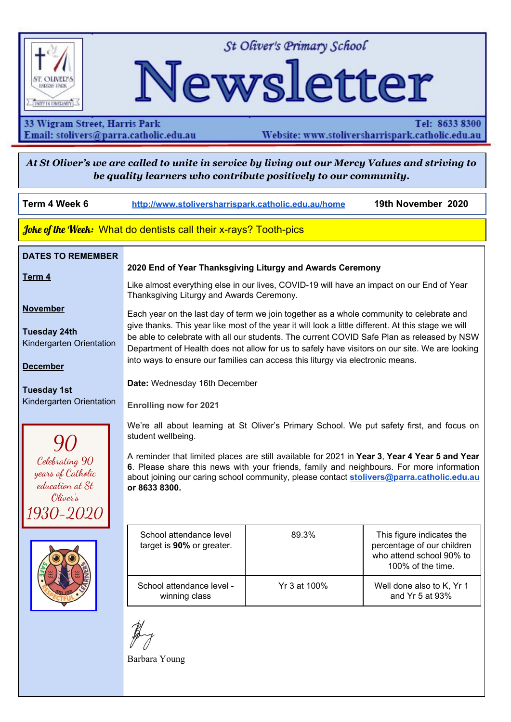

St Oliver's Primary School

# Newsletter

33 Wigram Street, Harris Park Email: stolivers@parra.catholic.edu.au

Tel: 8633 8300 Website: www.stoliversharrispark.catholic.edu.au

At St Oliver's we are called to unite in service by living out our Mercy Values and striving to be quality learners who contribute positively to our community.

| Term 4 Week 6                                                                                                                                                                                                                                                          | http://www.stoliversharrispark.catholic.edu.au/home                                                                                                                                                                                                                                                                                                                                                                                                                                                                                                                                                                                                                                                                                                                                                                                                                                                                                                                                                                                                                                                                                                                                      |              | 19th November 2020                                                                                       |
|------------------------------------------------------------------------------------------------------------------------------------------------------------------------------------------------------------------------------------------------------------------------|------------------------------------------------------------------------------------------------------------------------------------------------------------------------------------------------------------------------------------------------------------------------------------------------------------------------------------------------------------------------------------------------------------------------------------------------------------------------------------------------------------------------------------------------------------------------------------------------------------------------------------------------------------------------------------------------------------------------------------------------------------------------------------------------------------------------------------------------------------------------------------------------------------------------------------------------------------------------------------------------------------------------------------------------------------------------------------------------------------------------------------------------------------------------------------------|--------------|----------------------------------------------------------------------------------------------------------|
| Joke of the Week: What do dentists call their x-rays? Tooth-pics                                                                                                                                                                                                       |                                                                                                                                                                                                                                                                                                                                                                                                                                                                                                                                                                                                                                                                                                                                                                                                                                                                                                                                                                                                                                                                                                                                                                                          |              |                                                                                                          |
| <b>DATES TO REMEMBER</b><br>Term 4<br><b>November</b><br><b>Tuesday 24th</b><br>Kindergarten Orientation<br><b>December</b><br><b>Tuesday 1st</b><br>Kindergarten Orientation<br>Celebrating 90<br>years of Catholic<br>education at St<br>Oliver's<br><i>930-2020</i> | 2020 End of Year Thanksgiving Liturgy and Awards Ceremony<br>Like almost everything else in our lives, COVID-19 will have an impact on our End of Year<br>Thanksgiving Liturgy and Awards Ceremony.<br>Each year on the last day of term we join together as a whole community to celebrate and<br>give thanks. This year like most of the year it will look a little different. At this stage we will<br>be able to celebrate with all our students. The current COVID Safe Plan as released by NSW<br>Department of Health does not allow for us to safely have visitors on our site. We are looking<br>into ways to ensure our families can access this liturgy via electronic means.<br>Date: Wednesday 16th December<br><b>Enrolling now for 2021</b><br>We're all about learning at St Oliver's Primary School. We put safety first, and focus on<br>student wellbeing.<br>A reminder that limited places are still available for 2021 in Year 3, Year 4 Year 5 and Year<br>6. Please share this news with your friends, family and neighbours. For more information<br>about joining our caring school community, please contact stolivers@parra.catholic.edu.au<br>or 8633 8300. |              |                                                                                                          |
|                                                                                                                                                                                                                                                                        | School attendance level<br>target is 90% or greater.                                                                                                                                                                                                                                                                                                                                                                                                                                                                                                                                                                                                                                                                                                                                                                                                                                                                                                                                                                                                                                                                                                                                     | 89.3%        | This figure indicates the<br>percentage of our children<br>who attend school 90% to<br>100% of the time. |
|                                                                                                                                                                                                                                                                        | School attendance level -<br>winning class                                                                                                                                                                                                                                                                                                                                                                                                                                                                                                                                                                                                                                                                                                                                                                                                                                                                                                                                                                                                                                                                                                                                               | Yr 3 at 100% | Well done also to K, Yr 1<br>and Yr 5 at 93%                                                             |
|                                                                                                                                                                                                                                                                        | Barbara Young                                                                                                                                                                                                                                                                                                                                                                                                                                                                                                                                                                                                                                                                                                                                                                                                                                                                                                                                                                                                                                                                                                                                                                            |              |                                                                                                          |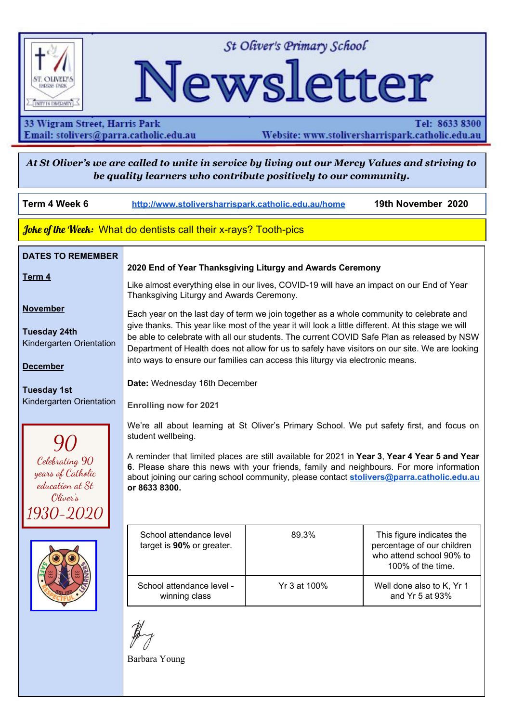#### **ADVENT**

#### **Advent begins Sunday, 29th November.**

Advent is such a busy time of year and we so easily forget that—at its heart—it is meant to be a time of preparation, waiting and hope for the coming of Jesus into our world and lives.



During the four weeks of Advent, we prepare for the celebration of Christ's birth through prayer and reflection. We contemplate the First Coming of Jesus as Saviour, and anticipate his promised Second Coming. And amid the flurry of Christmas preparations, we look for practical ways to observe the holiness of the season in our everyday lives.

Let us all join together as we prepare for this Season of Advent.

Anthony Matthews REC

#### **Student Prayer**

Dear God,

Thank you for letting us live a happy life. When Jesus sacrificed himself for us, it really showed us and you how much he really loves us. You have helped everyone that is in need in your time to this day. You have cured the sick, ill, blind and poor. The time Jesus walked on water, it reminded me that you actually cannot walk on water but the message in that story/passage was that God was never going to let you go far. In the Lost Sheep, Jesus wanted to find the lost sheep. The message of that story was that no matter what happened to you he will always be there for you, to find you, so you can reconnect. Thank you God and Jesus, you have played your part. Now it is our turn to play ours. It's our turn to reconnect by praying to the Angels every day. After generation and generation, God, The Holy Spirit and Jesus, to all the angels and saints, we come together as one whole. A part of a holy body we come together and give thanks. For he is our guide until the end. Amen. Miguel Yr 6.

## **PBS4L NEWS FOCUS WEEK 6**

We are safe. Stop, think, do; manage impulsivity



**OLI'S STAR CLASS** Congratulations to Year 4



### **What's in season for summer?**

There are lots of good reasons to eat seasonal fruit and vegies:

- They are fresher
- They have more flavour
- They are more nutritious  $-$  less storage time means nutrients don't break down
- They are less expensive  $-$  plenty of supply means that produce is at its cheapest

AND summer fruit and veg are delicious! Here is what is in season for summer:

**Fruit**: apricot, banana, blueberry, blackberry, cherry, fig, grapes, grapefruit, lychee, mango, melon, nectarine, orange (valencia), passionfruit, pawpaw, pear, peach, pineapple, plum, raspberry, strawberry.

**Vegetables**: asparagus,beans (green, butter,snake), beetroot, bok choy, cabbage, capsicum, celery, cucumber, eggplant, leek, lettuce/salad mix, mushrooms, onion, peas (sugarsnap, snow), potato, radish, rhubarb, shallots, spinach, squash, sweetcorn, tomato, zucchini.